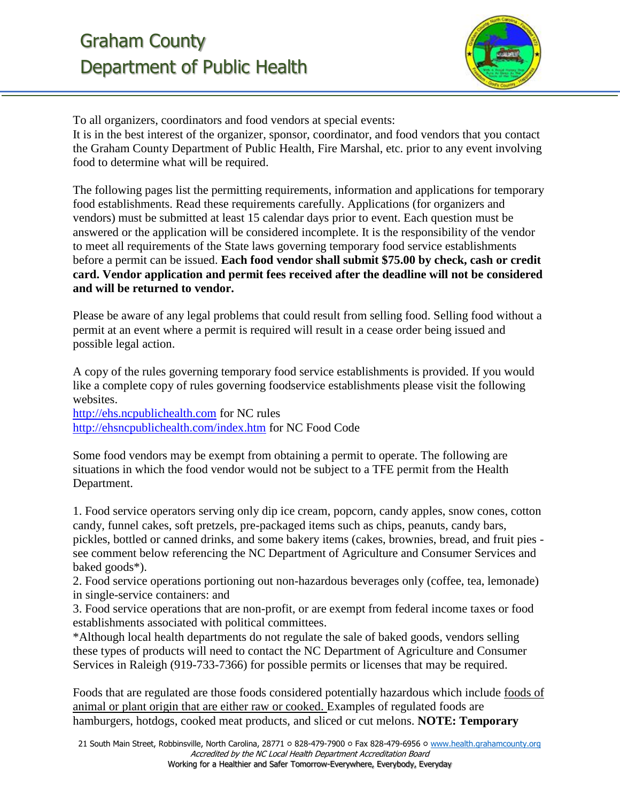

To all organizers, coordinators and food vendors at special events: It is in the best interest of the organizer, sponsor, coordinator, and food vendors that you contact the Graham County Department of Public Health, Fire Marshal, etc. prior to any event involving food to determine what will be required.

The following pages list the permitting requirements, information and applications for temporary food establishments. Read these requirements carefully. Applications (for organizers and vendors) must be submitted at least 15 calendar days prior to event. Each question must be answered or the application will be considered incomplete. It is the responsibility of the vendor to meet all requirements of the State laws governing temporary food service establishments before a permit can be issued. **Each food vendor shall submit \$75.00 by check, cash or credit card. Vendor application and permit fees received after the deadline will not be considered and will be returned to vendor.** 

Please be aware of any legal problems that could result from selling food. Selling food without a permit at an event where a permit is required will result in a cease order being issued and possible legal action.

A copy of the rules governing temporary food service establishments is provided. If you would like a complete copy of rules governing foodservice establishments please visit the following websites.

[http://ehs.ncpublichealth.com](http://ehs.ncpublichealth.com/) for NC rules <http://ehsncpublichealth.com/index.htm> for NC Food Code

Some food vendors may be exempt from obtaining a permit to operate. The following are situations in which the food vendor would not be subject to a TFE permit from the Health Department.

1. Food service operators serving only dip ice cream, popcorn, candy apples, snow cones, cotton candy, funnel cakes, soft pretzels, pre-packaged items such as chips, peanuts, candy bars, pickles, bottled or canned drinks, and some bakery items (cakes, brownies, bread, and fruit pies see comment below referencing the NC Department of Agriculture and Consumer Services and baked goods\*).

2. Food service operations portioning out non-hazardous beverages only (coffee, tea, lemonade) in single-service containers: and

3. Food service operations that are non-profit, or are exempt from federal income taxes or food establishments associated with political committees.

\*Although local health departments do not regulate the sale of baked goods, vendors selling these types of products will need to contact the NC Department of Agriculture and Consumer Services in Raleigh (919-733-7366) for possible permits or licenses that may be required.

Foods that are regulated are those foods considered potentially hazardous which include foods of animal or plant origin that are either raw or cooked. Examples of regulated foods are hamburgers, hotdogs, cooked meat products, and sliced or cut melons. **NOTE: Temporary**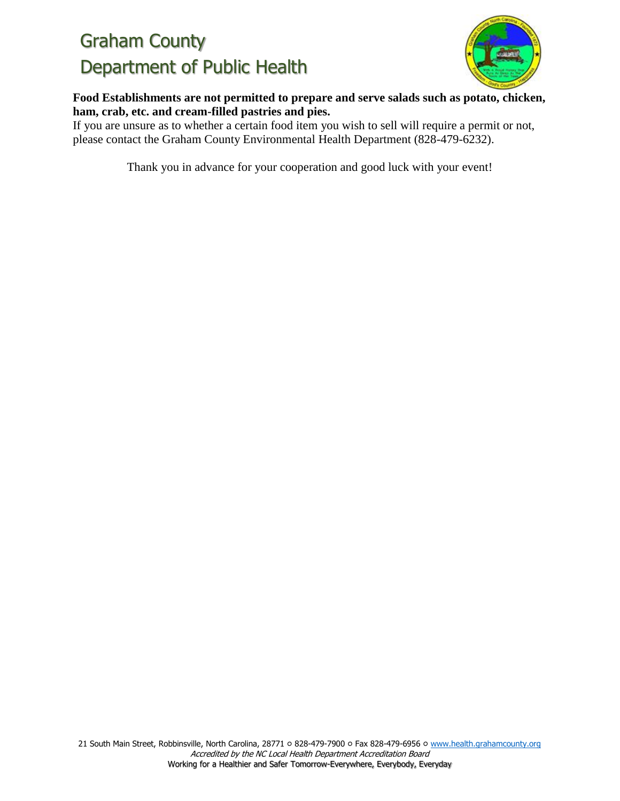

**Food Establishments are not permitted to prepare and serve salads such as potato, chicken, ham, crab, etc. and cream-filled pastries and pies.**

If you are unsure as to whether a certain food item you wish to sell will require a permit or not, please contact the Graham County Environmental Health Department (828-479-6232).

Thank you in advance for your cooperation and good luck with your event!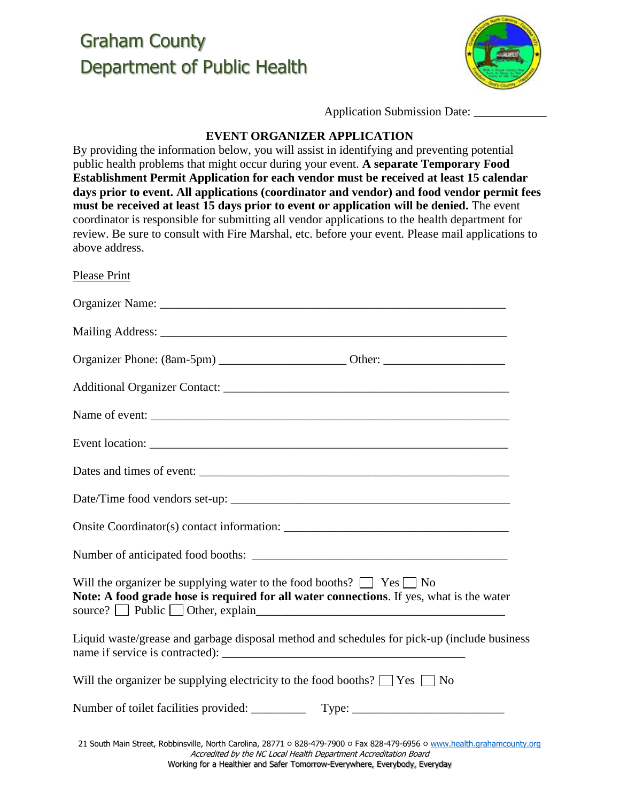

Application Submission Date:

#### **EVENT ORGANIZER APPLICATION**

By providing the information below, you will assist in identifying and preventing potential public health problems that might occur during your event. **A separate Temporary Food Establishment Permit Application for each vendor must be received at least 15 calendar days prior to event. All applications (coordinator and vendor) and food vendor permit fees must be received at least 15 days prior to event or application will be denied.** The event coordinator is responsible for submitting all vendor applications to the health department for review. Be sure to consult with Fire Marshal, etc. before your event. Please mail applications to above address.

| <b>Please Print</b>                                                                                                                                                                                                                                             |
|-----------------------------------------------------------------------------------------------------------------------------------------------------------------------------------------------------------------------------------------------------------------|
|                                                                                                                                                                                                                                                                 |
|                                                                                                                                                                                                                                                                 |
|                                                                                                                                                                                                                                                                 |
|                                                                                                                                                                                                                                                                 |
|                                                                                                                                                                                                                                                                 |
|                                                                                                                                                                                                                                                                 |
|                                                                                                                                                                                                                                                                 |
|                                                                                                                                                                                                                                                                 |
|                                                                                                                                                                                                                                                                 |
|                                                                                                                                                                                                                                                                 |
| Will the organizer be supplying water to the food booths? $\Box$ Yes $\Box$ No<br>Note: A food grade hose is required for all water connections. If yes, what is the water<br>source? Public Other, explain entertainment of Public of Public of Other, explain |
| Liquid waste/grease and garbage disposal method and schedules for pick-up (include business                                                                                                                                                                     |
| Will the organizer be supplying electricity to the food booths? $\Box$ Yes $\Box$ No                                                                                                                                                                            |
|                                                                                                                                                                                                                                                                 |
| 21 South Main Street, Robbinsville, North Carolina, 28771 o 828-479-7900 o Fax 828-479-6956 o www.health.grahamcounty.org<br>Accredited by the NC Local Health Department Accreditation Board                                                                   |

Working for a Healthier and Safer Tomorrow-Everywhere, Everybody, Everyday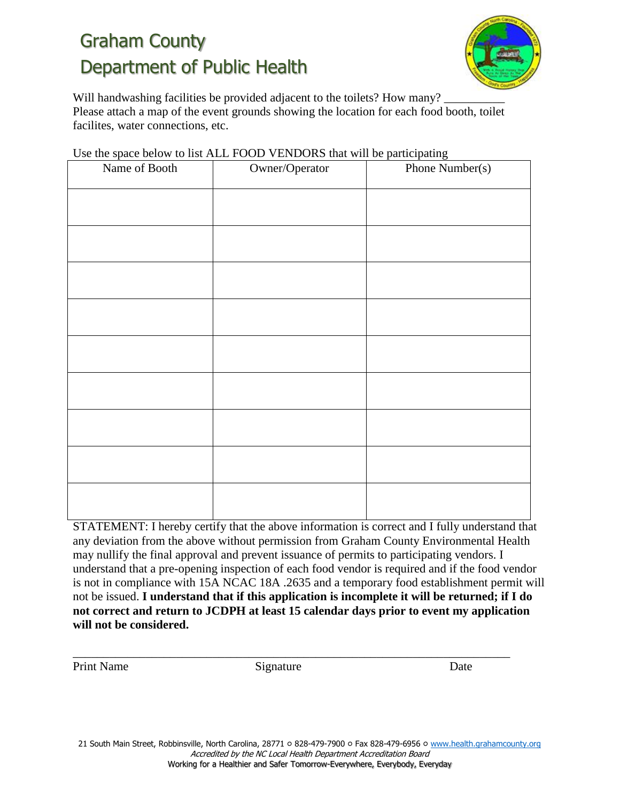

Will handwashing facilities be provided adjacent to the toilets? How many? Please attach a map of the event grounds showing the location for each food booth, toilet facilites, water connections, etc.

| Name of Booth | Owner/Operator | Phone Number(s) |  |
|---------------|----------------|-----------------|--|
|               |                |                 |  |
|               |                |                 |  |
|               |                |                 |  |
|               |                |                 |  |
|               |                |                 |  |
|               |                |                 |  |
|               |                |                 |  |
|               |                |                 |  |
|               |                |                 |  |
|               |                |                 |  |
|               |                |                 |  |
|               |                |                 |  |
|               |                |                 |  |
|               |                |                 |  |
|               |                |                 |  |
|               |                |                 |  |

Use the space below to list ALL FOOD VENDORS that will be participating

STATEMENT: I hereby certify that the above information is correct and I fully understand that any deviation from the above without permission from Graham County Environmental Health may nullify the final approval and prevent issuance of permits to participating vendors. I understand that a pre-opening inspection of each food vendor is required and if the food vendor is not in compliance with 15A NCAC 18A .2635 and a temporary food establishment permit will not be issued. **I understand that if this application is incomplete it will be returned; if I do not correct and return to JCDPH at least 15 calendar days prior to event my application will not be considered.** 

Print Name Signature Date

\_\_\_\_\_\_\_\_\_\_\_\_\_\_\_\_\_\_\_\_\_\_\_\_\_\_\_\_\_\_\_\_\_\_\_\_\_\_\_\_\_\_\_\_\_\_\_\_\_\_\_\_\_\_\_\_\_\_\_\_\_\_\_\_\_\_\_\_\_\_\_\_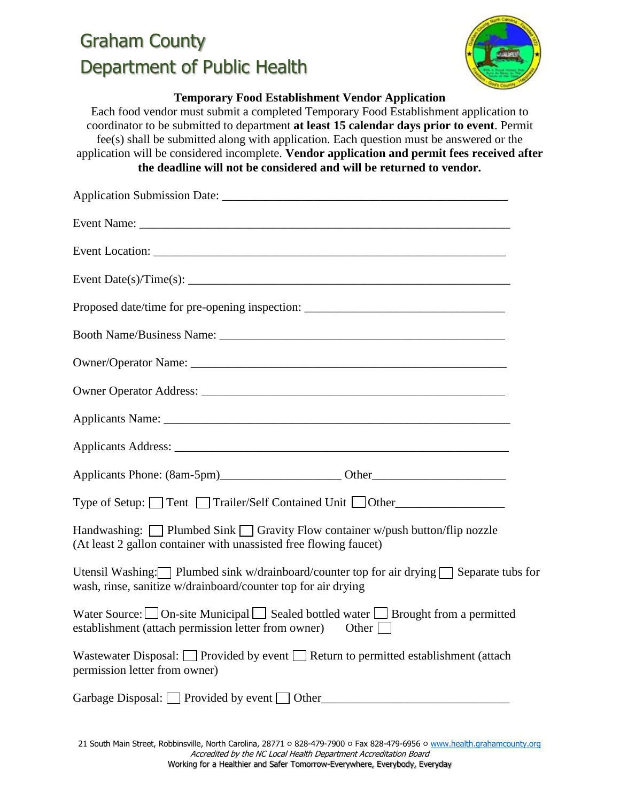

#### **Temporary Food Establishment Vendor Application**

Each food vendor must submit a completed Temporary Food Establishment application to coordinator to be submitted to department **at least 15 calendar days prior to event**. Permit fee(s) shall be submitted along with application. Each question must be answered or the application will be considered incomplete. **Vendor application and permit fees received after the deadline will not be considered and will be returned to vendor.** 

| Proposed date/time for pre-opening inspection: _________________________________                                                                                       |  |
|------------------------------------------------------------------------------------------------------------------------------------------------------------------------|--|
|                                                                                                                                                                        |  |
|                                                                                                                                                                        |  |
|                                                                                                                                                                        |  |
|                                                                                                                                                                        |  |
|                                                                                                                                                                        |  |
|                                                                                                                                                                        |  |
| Type of Setup: □ Tent □ Trailer/Self Contained Unit □ Other_____________________                                                                                       |  |
| Handwashing: $\Box$ Plumbed Sink $\Box$ Gravity Flow container w/push button/flip nozzle<br>(At least 2 gallon container with unassisted free flowing faucet)          |  |
| Utensil Washing: Plumbed sink w/drainboard/counter top for air drying $\Box$ Separate tubs for<br>wash, rinse, sanitize w/drainboard/counter top for air drying        |  |
| Water Source: $\Box$ On-site Municipal $\Box$ Sealed bottled water $\Box$ Brought from a permitted<br>establishment (attach permission letter from owner) Other $\Box$ |  |
| Wastewater Disposal: □ Provided by event □ Return to permitted establishment (attach<br>permission letter from owner)                                                  |  |
| Garbage Disposal: Provided by event Other                                                                                                                              |  |

21 South Main Street, Robbinsville, North Carolina, 28771 ০ 828-479-7900 ০ Fax 828-479-6956 ০ [www.health.grahamcounty.org](http://www.health.grahamcounty.org/) Accredited by the NC Local Health Department Accreditation Board Working for a Healthier and Safer Tomorrow-Everywhere, Everybody, Everyday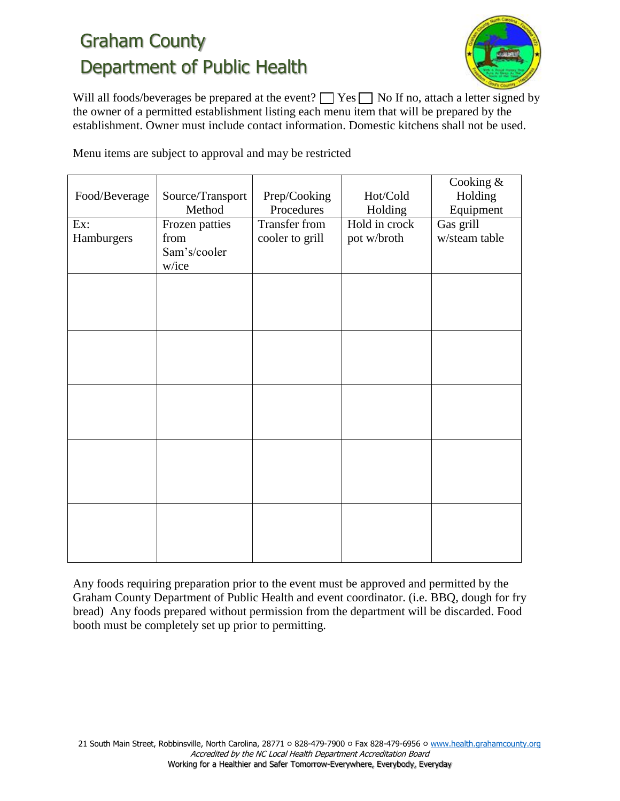

Will all foods/beverages be prepared at the event?  $\Box$  Yes  $\Box$  No If no, attach a letter signed by the owner of a permitted establishment listing each menu item that will be prepared by the establishment. Owner must include contact information. Domestic kitchens shall not be used.

Menu items are subject to approval and may be restricted

|               |                  |                      |               | Cooking &     |
|---------------|------------------|----------------------|---------------|---------------|
| Food/Beverage | Source/Transport | Prep/Cooking         | Hot/Cold      | Holding       |
|               | Method           | Procedures           | Holding       | Equipment     |
| Ex:           | Frozen patties   | <b>Transfer from</b> | Hold in crock | Gas grill     |
| Hamburgers    | from             | cooler to grill      | pot w/broth   | w/steam table |
|               | Sam's/cooler     |                      |               |               |
|               | w/ice            |                      |               |               |
|               |                  |                      |               |               |
|               |                  |                      |               |               |
|               |                  |                      |               |               |
|               |                  |                      |               |               |
|               |                  |                      |               |               |
|               |                  |                      |               |               |
|               |                  |                      |               |               |
|               |                  |                      |               |               |
|               |                  |                      |               |               |
|               |                  |                      |               |               |
|               |                  |                      |               |               |
|               |                  |                      |               |               |
|               |                  |                      |               |               |
|               |                  |                      |               |               |
|               |                  |                      |               |               |
|               |                  |                      |               |               |
|               |                  |                      |               |               |
|               |                  |                      |               |               |
|               |                  |                      |               |               |
|               |                  |                      |               |               |
|               |                  |                      |               |               |

Any foods requiring preparation prior to the event must be approved and permitted by the Graham County Department of Public Health and event coordinator. (i.e. BBQ, dough for fry bread) Any foods prepared without permission from the department will be discarded. Food booth must be completely set up prior to permitting.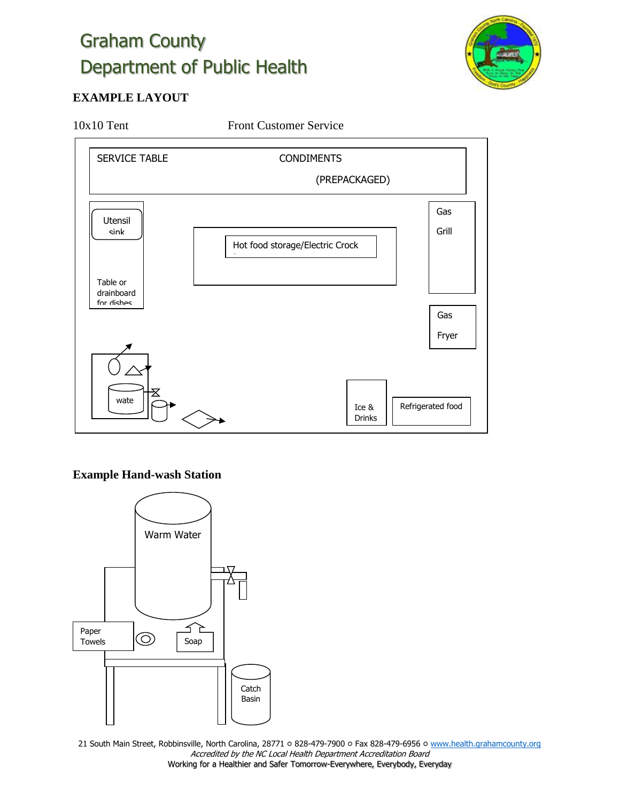

#### **EXAMPLE LAYOUT**

10x10 Tent Front Customer Service



#### **Example Hand-wash Station**



21 South Main Street, Robbinsville, North Carolina, 28771 ০ 828-479-7900 ০ Fax 828-479-6956 ০ [www.health.grahamcounty.org](http://www.health.grahamcounty.org/) Accredited by the NC Local Health Department Accreditation Board Working for a Healthier and Safer Tomorrow-Everywhere, Everybody, Everyday